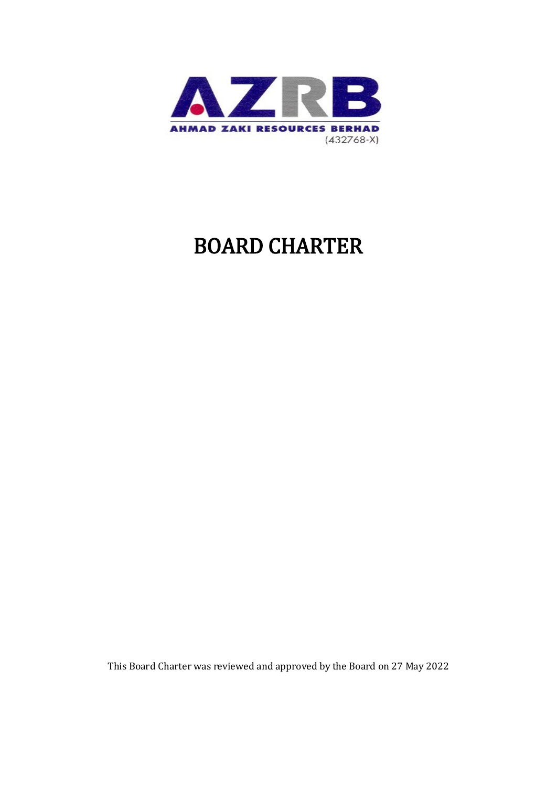

# BOARD CHARTER

This Board Charter was reviewed and approved by the Board on 27 May 2022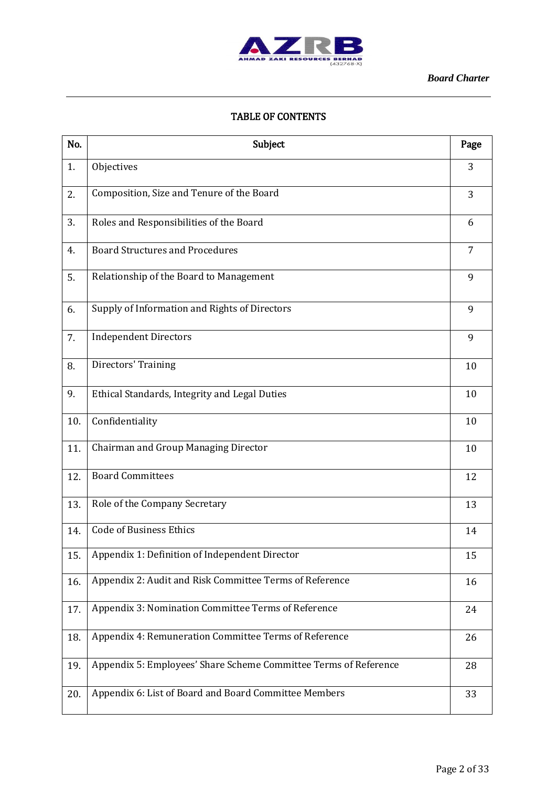

#### TABLE OF CONTENTS

| No. | Subject                                                          | Page           |
|-----|------------------------------------------------------------------|----------------|
| 1.  | Objectives                                                       | 3              |
| 2.  | Composition, Size and Tenure of the Board                        | 3              |
| 3.  | Roles and Responsibilities of the Board                          | 6              |
| 4.  | <b>Board Structures and Procedures</b>                           | $\overline{7}$ |
| 5.  | Relationship of the Board to Management                          | 9              |
| 6.  | Supply of Information and Rights of Directors                    | 9              |
| 7.  | <b>Independent Directors</b>                                     | 9              |
| 8.  | Directors' Training                                              | 10             |
| 9.  | Ethical Standards, Integrity and Legal Duties                    | 10             |
| 10. | Confidentiality                                                  | 10             |
| 11. | Chairman and Group Managing Director                             | 10             |
| 12. | <b>Board Committees</b>                                          | 12             |
| 13. | Role of the Company Secretary                                    | 13             |
| 14. | <b>Code of Business Ethics</b>                                   | 14             |
| 15. | Appendix 1: Definition of Independent Director                   | 15             |
| 16. | Appendix 2: Audit and Risk Committee Terms of Reference          | 16             |
| 17. | Appendix 3: Nomination Committee Terms of Reference              | 24             |
| 18. | Appendix 4: Remuneration Committee Terms of Reference            | 26             |
| 19. | Appendix 5: Employees' Share Scheme Committee Terms of Reference | 28             |
| 20. | Appendix 6: List of Board and Board Committee Members            | 33             |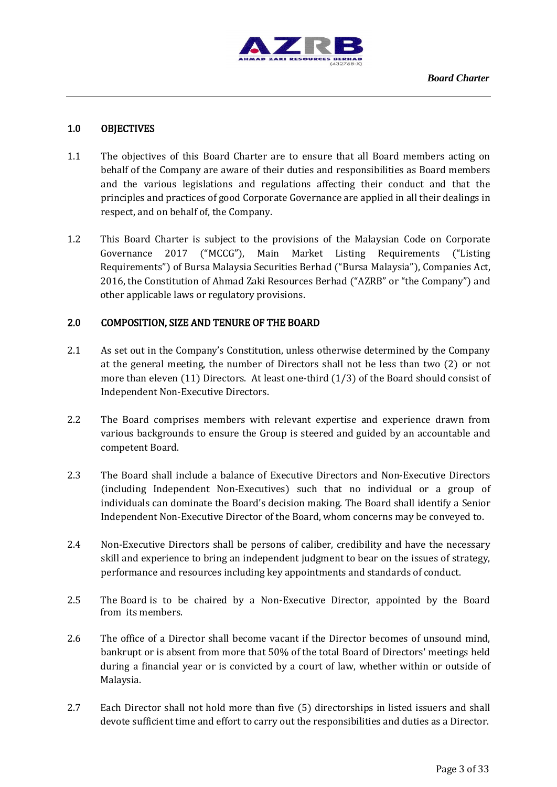

## 1.0 OBJECTIVES

- 1.1 The objectives of this Board Charter are to ensure that all Board members acting on behalf of the Company are aware of their duties and responsibilities as Board members and the various legislations and regulations affecting their conduct and that the principles and practices of good Corporate Governance are applied in all their dealings in respect, and on behalf of, the Company.
- 1.2 This Board Charter is subject to the provisions of the Malaysian Code on Corporate Governance 2017 ("MCCG"), Main Market Listing Requirements ("Listing Requirements") of Bursa Malaysia Securities Berhad ("Bursa Malaysia"), Companies Act, 2016, the Constitution of Ahmad Zaki Resources Berhad ("AZRB" or "the Company") and other applicable laws or regulatory provisions.

# 2.0 COMPOSITION, SIZE AND TENURE OF THE BOARD

- 2.1 As set out in the Company's Constitution, unless otherwise determined by the Company at the general meeting, the number of Directors shall not be less than two (2) or not more than eleven (11) Directors. At least one-third (1/3) of the Board should consist of Independent Non-Executive Directors.
- 2.2 The Board comprises members with relevant expertise and experience drawn from various backgrounds to ensure the Group is steered and guided by an accountable and competent Board.
- 2.3 The Board shall include a balance of Executive Directors and Non-Executive Directors (including Independent Non-Executives) such that no individual or a group of individuals can dominate the Board's decision making. The Board shall identify a Senior Independent Non-Executive Director of the Board, whom concerns may be conveyed to.
- 2.4 Non-Executive Directors shall be persons of caliber, credibility and have the necessary skill and experience to bring an independent judgment to bear on the issues of strategy, performance and resources including key appointments and standards of conduct.
- 2.5 The Board is to be chaired by a Non-Executive Director, appointed by the Board from its members.
- 2.6 The office of a Director shall become vacant if the Director becomes of unsound mind, bankrupt or is absent from more that 50% of the total Board of Directors' meetings held during a financial year or is convicted by a court of law, whether within or outside of Malaysia.
- 2.7 Each Director shall not hold more than five (5) directorships in listed issuers and shall devote sufficient time and effort to carry out the responsibilities and duties as a Director.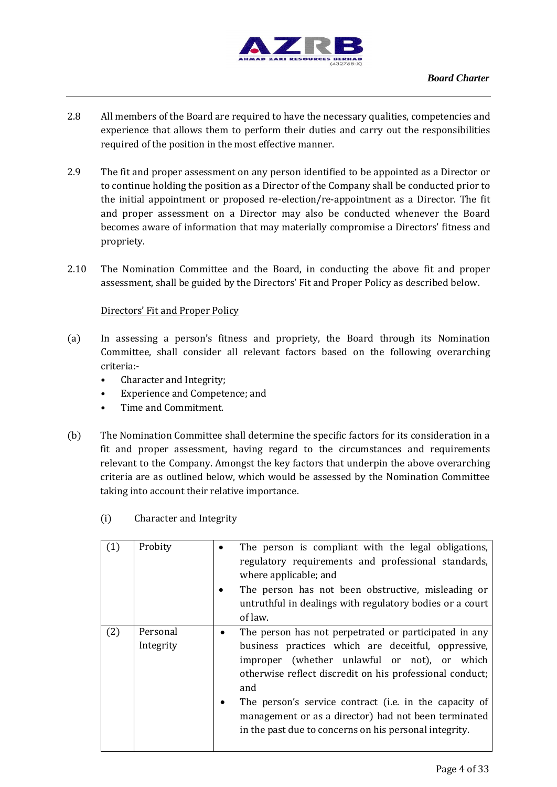

- 2.8 All members of the Board are required to have the necessary qualities, competencies and experience that allows them to perform their duties and carry out the responsibilities required of the position in the most effective manner.
- 2.9 The fit and proper assessment on any person identified to be appointed as a Director or to continue holding the position as a Director of the Company shall be conducted prior to the initial appointment or proposed re-election/re-appointment as a Director. The fit and proper assessment on a Director may also be conducted whenever the Board becomes aware of information that may materially compromise a Directors' fitness and propriety.
- 2.10 The Nomination Committee and the Board, in conducting the above fit and proper assessment, shall be guided by the Directors' Fit and Proper Policy as described below.

#### Directors' Fit and Proper Policy

- (a) In assessing a person's fitness and propriety, the Board through its Nomination Committee, shall consider all relevant factors based on the following overarching criteria:-
	- Character and Integrity;
	- Experience and Competence; and
	- Time and Commitment.
- (b) The Nomination Committee shall determine the specific factors for its consideration in a fit and proper assessment, having regard to the circumstances and requirements relevant to the Company. Amongst the key factors that underpin the above overarching criteria are as outlined below, which would be assessed by the Nomination Committee taking into account their relative importance.

|     | Probity               | The person is compliant with the legal obligations,<br>regulatory requirements and professional standards,<br>where applicable; and<br>The person has not been obstructive, misleading or<br>untruthful in dealings with regulatory bodies or a court<br>of law.                                                                                                                                            |
|-----|-----------------------|-------------------------------------------------------------------------------------------------------------------------------------------------------------------------------------------------------------------------------------------------------------------------------------------------------------------------------------------------------------------------------------------------------------|
| (2) | Personal<br>Integrity | The person has not perpetrated or participated in any<br>business practices which are deceitful, oppressive,<br>improper (whether unlawful or not), or which<br>otherwise reflect discredit on his professional conduct;<br>and<br>The person's service contract (i.e. in the capacity of<br>management or as a director) had not been terminated<br>in the past due to concerns on his personal integrity. |

(i) Character and Integrity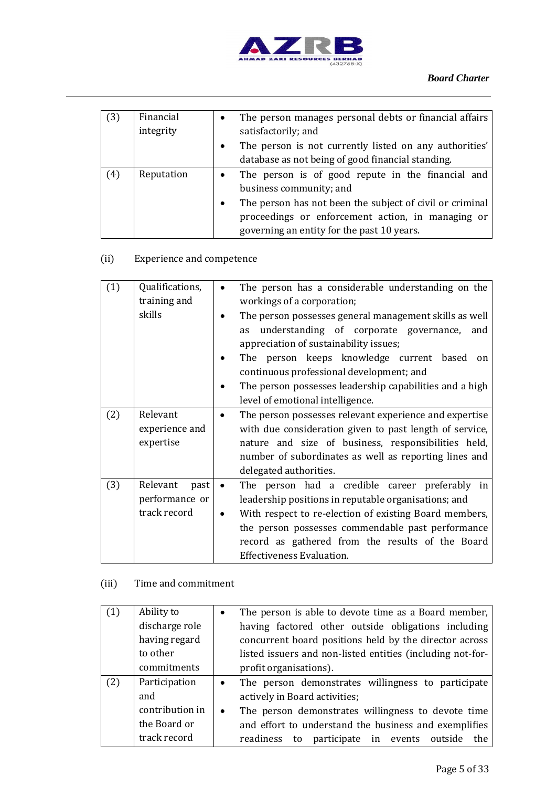

| (3) | Financial  | The person manages personal debts or financial affairs<br>$\bullet$   |
|-----|------------|-----------------------------------------------------------------------|
|     | integrity  | satisfactorily; and                                                   |
|     |            | The person is not currently listed on any authorities'<br>$\bullet$   |
|     |            | database as not being of good financial standing.                     |
| (4) | Reputation | The person is of good repute in the financial and<br>$\bullet$        |
|     |            | business community; and                                               |
|     |            | The person has not been the subject of civil or criminal<br>$\bullet$ |
|     |            | proceedings or enforcement action, in managing or                     |
|     |            | governing an entity for the past 10 years.                            |

# (ii) Experience and competence

| $\left(1\right)$ | Qualifications,<br>The person has a considerable understanding on the<br>training and<br>workings of a corporation;<br>skills<br>The person possesses general management skills as well<br>understanding of corporate governance,<br>and<br>as<br>appreciation of sustainability issues;<br>The person keeps knowledge current based<br>on<br>continuous professional development; and<br>The person possesses leadership capabilities and a high<br>level of emotional intelligence. |           |                                                                                                                                                                                                                                                                                                               |
|------------------|---------------------------------------------------------------------------------------------------------------------------------------------------------------------------------------------------------------------------------------------------------------------------------------------------------------------------------------------------------------------------------------------------------------------------------------------------------------------------------------|-----------|---------------------------------------------------------------------------------------------------------------------------------------------------------------------------------------------------------------------------------------------------------------------------------------------------------------|
| (2)              | Relevant<br>experience and<br>expertise                                                                                                                                                                                                                                                                                                                                                                                                                                               |           | The person possesses relevant experience and expertise<br>with due consideration given to past length of service,<br>nature and size of business, responsibilities held,<br>number of subordinates as well as reporting lines and<br>delegated authorities.                                                   |
| (3)              | Relevant<br>past<br>performance or<br>track record                                                                                                                                                                                                                                                                                                                                                                                                                                    | $\bullet$ | The person had a credible career preferably in<br>leadership positions in reputable organisations; and<br>With respect to re-election of existing Board members,<br>the person possesses commendable past performance<br>record as gathered from the results of the Board<br><b>Effectiveness Evaluation.</b> |

# (iii) Time and commitment

|     | Ability to      | $\bullet$ | The person is able to devote time as a Board member,       |
|-----|-----------------|-----------|------------------------------------------------------------|
|     | discharge role  |           | having factored other outside obligations including        |
|     | having regard   |           | concurrent board positions held by the director across     |
|     | to other        |           | listed issuers and non-listed entities (including not-for- |
|     | commitments     |           | profit organisations).                                     |
| (2) | Participation   | $\bullet$ | The person demonstrates willingness to participate         |
|     | and             |           | actively in Board activities;                              |
|     | contribution in | $\bullet$ | The person demonstrates willingness to devote time         |
|     | the Board or    |           | and effort to understand the business and exemplifies      |
|     | track record    |           | to participate in events<br>readiness<br>the<br>outside    |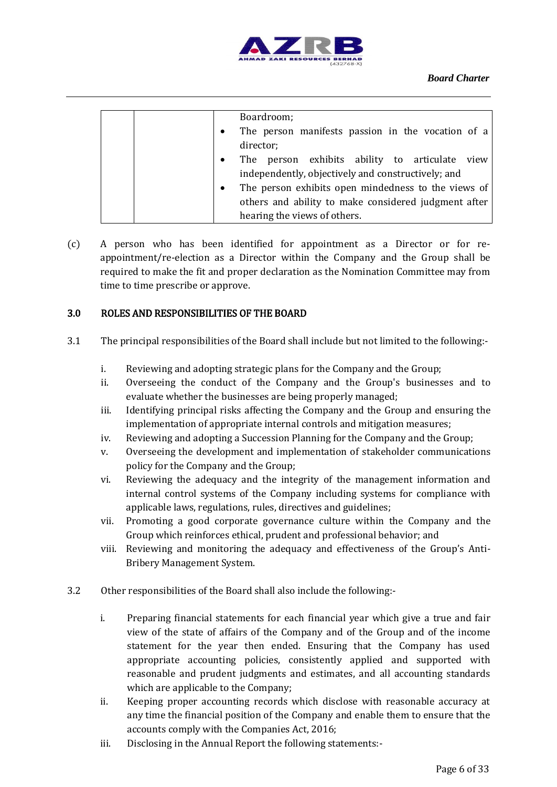

| Boardroom;                                                       |
|------------------------------------------------------------------|
|                                                                  |
| The person manifests passion in the vocation of a<br>$\bullet$   |
| director;                                                        |
| The person exhibits ability to articulate view<br>$\bullet$      |
| independently, objectively and constructively; and               |
| The person exhibits open mindedness to the views of<br>$\bullet$ |
| others and ability to make considered judgment after             |
| hearing the views of others.                                     |

(c) A person who has been identified for appointment as a Director or for reappointment/re-election as a Director within the Company and the Group shall be required to make the fit and proper declaration as the Nomination Committee may from time to time prescribe or approve.

#### 3.0 ROLES AND RESPONSIBILITIES OF THE BOARD

- 3.1 The principal responsibilities of the Board shall include but not limited to the following:
	- i. Reviewing and adopting strategic plans for the Company and the Group;
	- ii. Overseeing the conduct of the Company and the Group's businesses and to evaluate whether the businesses are being properly managed;
	- iii. Identifying principal risks affecting the Company and the Group and ensuring the implementation of appropriate internal controls and mitigation measures;
	- iv. Reviewing and adopting a Succession Planning for the Company and the Group;
	- v. Overseeing the development and implementation of stakeholder communications policy for the Company and the Group;
	- vi. Reviewing the adequacy and the integrity of the management information and internal control systems of the Company including systems for compliance with applicable laws, regulations, rules, directives and guidelines;
	- vii. Promoting a good corporate governance culture within the Company and the Group which reinforces ethical, prudent and professional behavior; and
	- viii. Reviewing and monitoring the adequacy and effectiveness of the Group's Anti-Bribery Management System.
- 3.2 Other responsibilities of the Board shall also include the following:
	- i. Preparing financial statements for each financial year which give a true and fair view of the state of affairs of the Company and of the Group and of the income statement for the year then ended. Ensuring that the Company has used appropriate accounting policies, consistently applied and supported with reasonable and prudent judgments and estimates, and all accounting standards which are applicable to the Company;
	- ii. Keeping proper accounting records which disclose with reasonable accuracy at any time the financial position of the Company and enable them to ensure that the accounts comply with the Companies Act, 2016;
	- iii. Disclosing in the Annual Report the following statements:-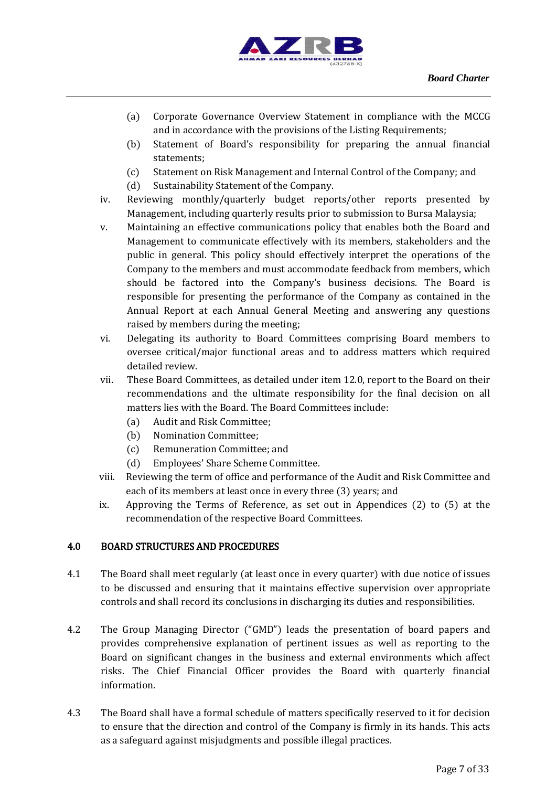

- (a) Corporate Governance Overview Statement in compliance with the MCCG and in accordance with the provisions of the Listing Requirements;
- (b) Statement of Board's responsibility for preparing the annual financial statements;
- (c) Statement on Risk Management and Internal Control of the Company; and
- (d) Sustainability Statement of the Company.
- iv. Reviewing monthly/quarterly budget reports/other reports presented by Management, including quarterly results prior to submission to Bursa Malaysia;
- v. Maintaining an effective communications policy that enables both the Board and Management to communicate effectively with its members, stakeholders and the public in general. This policy should effectively interpret the operations of the Company to the members and must accommodate feedback from members, which should be factored into the Company's business decisions. The Board is responsible for presenting the performance of the Company as contained in the Annual Report at each Annual General Meeting and answering any questions raised by members during the meeting;
- vi. Delegating its authority to Board Committees comprising Board members to oversee critical/major functional areas and to address matters which required detailed review.
- vii. These Board Committees, as detailed under item 12.0, report to the Board on their recommendations and the ultimate responsibility for the final decision on all matters lies with the Board. The Board Committees include:
	- (a) Audit and Risk Committee;
	- (b) Nomination Committee;
	- (c) Remuneration Committee; and
	- (d) Employees' Share Scheme Committee.
- viii. Reviewing the term of office and performance of the Audit and Risk Committee and each of its members at least once in every three (3) years; and
- ix. Approving the Terms of Reference, as set out in Appendices (2) to (5) at the recommendation of the respective Board Committees.

# 4.0 BOARD STRUCTURES AND PROCEDURES

- 4.1 The Board shall meet regularly (at least once in every quarter) with due notice of issues to be discussed and ensuring that it maintains effective supervision over appropriate controls and shall record its conclusions in discharging its duties and responsibilities.
- 4.2 The Group Managing Director ("GMD") leads the presentation of board papers and provides comprehensive explanation of pertinent issues as well as reporting to the Board on significant changes in the business and external environments which affect risks. The Chief Financial Officer provides the Board with quarterly financial information.
- 4.3 The Board shall have a formal schedule of matters specifically reserved to it for decision to ensure that the direction and control of the Company is firmly in its hands. This acts as a safeguard against misjudgments and possible illegal practices.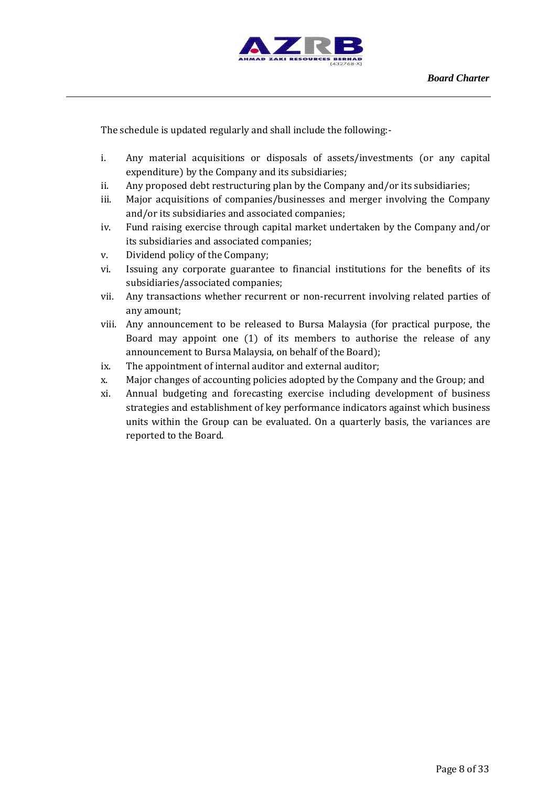

The schedule is updated regularly and shall include the following:-

- i. Any material acquisitions or disposals of assets/investments (or any capital expenditure) by the Company and its subsidiaries;
- ii. Any proposed debt restructuring plan by the Company and/or its subsidiaries;
- iii. Major acquisitions of companies/businesses and merger involving the Company and/or its subsidiaries and associated companies;
- iv. Fund raising exercise through capital market undertaken by the Company and/or its subsidiaries and associated companies;
- v. Dividend policy of the Company;
- vi. Issuing any corporate guarantee to financial institutions for the benefits of its subsidiaries/associated companies;
- vii. Any transactions whether recurrent or non-recurrent involving related parties of any amount;
- viii. Any announcement to be released to Bursa Malaysia (for practical purpose, the Board may appoint one (1) of its members to authorise the release of any announcement to Bursa Malaysia, on behalf of the Board);
- ix. The appointment of internal auditor and external auditor;
- x. Major changes of accounting policies adopted by the Company and the Group; and
- xi. Annual budgeting and forecasting exercise including development of business strategies and establishment of key performance indicators against which business units within the Group can be evaluated. On a quarterly basis, the variances are reported to the Board.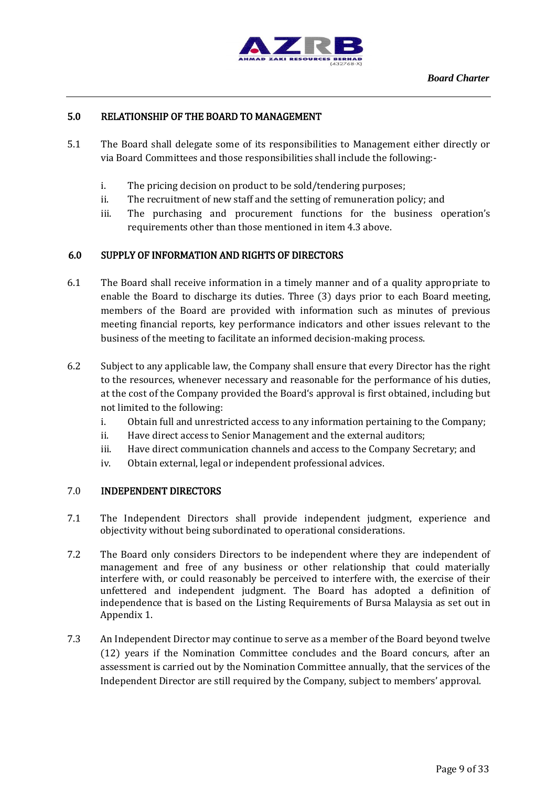

# 5.0 RELATIONSHIP OF THE BOARD TO MANAGEMENT

- 5.1 The Board shall delegate some of its responsibilities to Management either directly or via Board Committees and those responsibilities shall include the following:
	- i. The pricing decision on product to be sold/tendering purposes;
	- ii. The recruitment of new staff and the setting of remuneration policy; and
	- iii. The purchasing and procurement functions for the business operation's requirements other than those mentioned in item 4.3 above.

#### 6.0 SUPPLY OF INFORMATION AND RIGHTS OF DIRECTORS

- 6.1 The Board shall receive information in a timely manner and of a quality appropriate to enable the Board to discharge its duties. Three (3) days prior to each Board meeting, members of the Board are provided with information such as minutes of previous meeting financial reports, key performance indicators and other issues relevant to the business of the meeting to facilitate an informed decision-making process.
- 6.2 Subject to any applicable law, the Company shall ensure that every Director has the right to the resources, whenever necessary and reasonable for the performance of his duties, at the cost of the Company provided the Board's approval is first obtained, including but not limited to the following:
	- i. Obtain full and unrestricted access to any information pertaining to the Company;
	- ii. Have direct access to Senior Management and the external auditors;
	- iii. Have direct communication channels and access to the Company Secretary; and
	- iv. Obtain external, legal or independent professional advices.

#### 7.0 INDEPENDENT DIRECTORS

- 7.1 The Independent Directors shall provide independent judgment, experience and objectivity without being subordinated to operational considerations.
- 7.2 The Board only considers Directors to be independent where they are independent of management and free of any business or other relationship that could materially interfere with, or could reasonably be perceived to interfere with, the exercise of their unfettered and independent judgment. The Board has adopted a definition of independence that is based on the Listing Requirements of Bursa Malaysia as set out in Appendix 1.
- 7.3 An Independent Director may continue to serve as a member of the Board beyond twelve (12) years if the Nomination Committee concludes and the Board concurs, after an assessment is carried out by the Nomination Committee annually, that the services of the Independent Director are still required by the Company, subject to members' approval.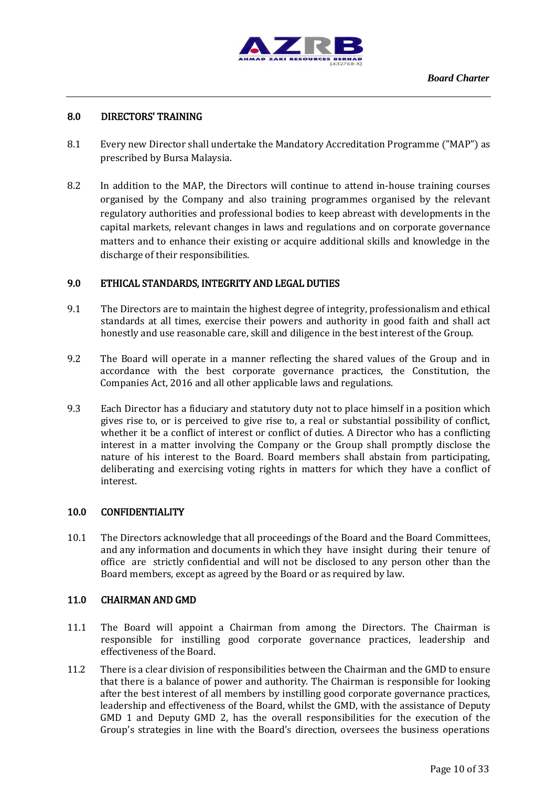

## 8.0 DIRECTORS' TRAINING

- 8.1 Every new Director shall undertake the Mandatory Accreditation Programme ("MAP") as prescribed by Bursa Malaysia.
- 8.2 In addition to the MAP, the Directors will continue to attend in-house training courses organised by the Company and also training programmes organised by the relevant regulatory authorities and professional bodies to keep abreast with developments in the capital markets, relevant changes in laws and regulations and on corporate governance matters and to enhance their existing or acquire additional skills and knowledge in the discharge of their responsibilities.

#### 9.0 ETHICAL STANDARDS, INTEGRITY AND LEGAL DUTIES

- 9.1 The Directors are to maintain the highest degree of integrity, professionalism and ethical standards at all times, exercise their powers and authority in good faith and shall act honestly and use reasonable care, skill and diligence in the best interest of the Group.
- 9.2 The Board will operate in a manner reflecting the shared values of the Group and in accordance with the best corporate governance practices, the Constitution, the Companies Act, 2016 and all other applicable laws and regulations.
- 9.3 Each Director has a fiduciary and statutory duty not to place himself in a position which gives rise to, or is perceived to give rise to, a real or substantial possibility of conflict, whether it be a conflict of interest or conflict of duties. A Director who has a conflicting interest in a matter involving the Company or the Group shall promptly disclose the nature of his interest to the Board. Board members shall abstain from participating, deliberating and exercising voting rights in matters for which they have a conflict of interest.

#### 10.0 CONFIDENTIALITY

10.1 The Directors acknowledge that all proceedings of the Board and the Board Committees, and any information and documents in which they have insight during their tenure of office are strictly confidential and will not be disclosed to any person other than the Board members, except as agreed by the Board or as required by law.

#### 11.0 CHAIRMAN AND GMD

- 11.1 The Board will appoint a Chairman from among the Directors. The Chairman is responsible for instilling good corporate governance practices, leadership and effectiveness of the Board.
- 11.2 There is a clear division of responsibilities between the Chairman and the GMD to ensure that there is a balance of power and authority. The Chairman is responsible for looking after the best interest of all members by instilling good corporate governance practices, leadership and effectiveness of the Board, whilst the GMD, with the assistance of Deputy GMD 1 and Deputy GMD 2, has the overall responsibilities for the execution of the Group's strategies in line with the Board's direction, oversees the business operations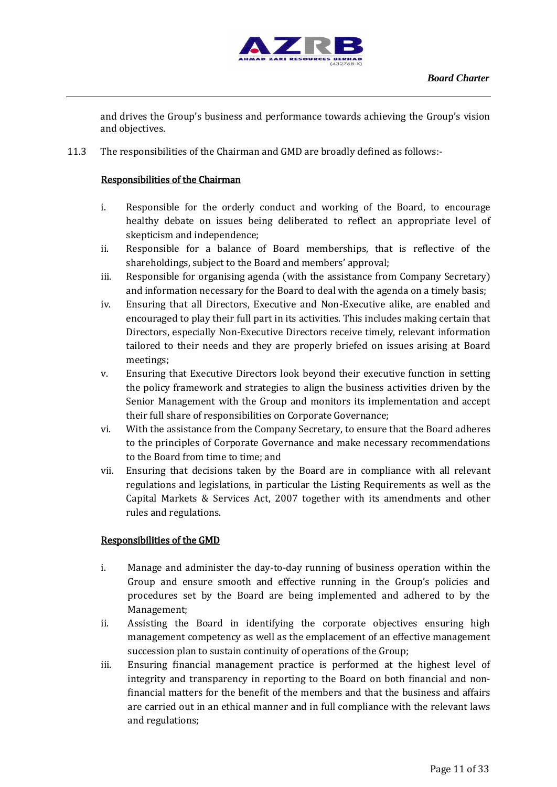

and drives the Group's business and performance towards achieving the Group's vision and objectives.

11.3 The responsibilities of the Chairman and GMD are broadly defined as follows:-

# Responsibilities of the Chairman

- i. Responsible for the orderly conduct and working of the Board, to encourage healthy debate on issues being deliberated to reflect an appropriate level of skepticism and independence;
- ii. Responsible for a balance of Board memberships, that is reflective of the shareholdings, subject to the Board and members' approval;
- iii. Responsible for organising agenda (with the assistance from Company Secretary) and information necessary for the Board to deal with the agenda on a timely basis;
- iv. Ensuring that all Directors, Executive and Non-Executive alike, are enabled and encouraged to play their full part in its activities. This includes making certain that Directors, especially Non-Executive Directors receive timely, relevant information tailored to their needs and they are properly briefed on issues arising at Board meetings;
- v. Ensuring that Executive Directors look beyond their executive function in setting the policy framework and strategies to align the business activities driven by the Senior Management with the Group and monitors its implementation and accept their full share of responsibilities on Corporate Governance;
- vi. With the assistance from the Company Secretary, to ensure that the Board adheres to the principles of Corporate Governance and make necessary recommendations to the Board from time to time; and
- vii. Ensuring that decisions taken by the Board are in compliance with all relevant regulations and legislations, in particular the Listing Requirements as well as the Capital Markets & Services Act, 2007 together with its amendments and other rules and regulations.

# Responsibilities of the GMD

- i. Manage and administer the day-to-day running of business operation within the Group and ensure smooth and effective running in the Group's policies and procedures set by the Board are being implemented and adhered to by the Management;
- ii. Assisting the Board in identifying the corporate objectives ensuring high management competency as well as the emplacement of an effective management succession plan to sustain continuity of operations of the Group;
- iii. Ensuring financial management practice is performed at the highest level of integrity and transparency in reporting to the Board on both financial and nonfinancial matters for the benefit of the members and that the business and affairs are carried out in an ethical manner and in full compliance with the relevant laws and regulations;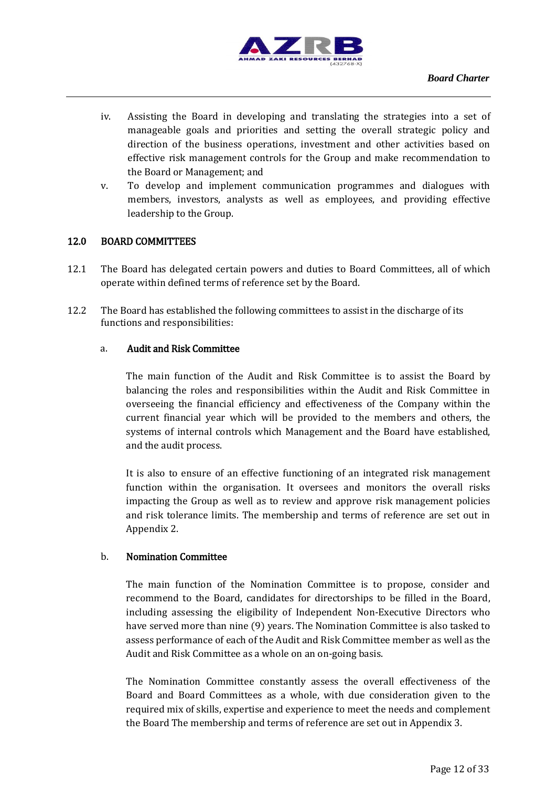

- iv. Assisting the Board in developing and translating the strategies into a set of manageable goals and priorities and setting the overall strategic policy and direction of the business operations, investment and other activities based on effective risk management controls for the Group and make recommendation to the Board or Management; and
- v. To develop and implement communication programmes and dialogues with members, investors, analysts as well as employees, and providing effective leadership to the Group.

#### 12.0 BOARD COMMITTEES

- 12.1 The Board has delegated certain powers and duties to Board Committees, all of which operate within defined terms of reference set by the Board.
- 12.2 The Board has established the following committees to assist in the discharge of its functions and responsibilities:

#### a. Audit and Risk Committee

The main function of the Audit and Risk Committee is to assist the Board by balancing the roles and responsibilities within the Audit and Risk Committee in overseeing the financial efficiency and effectiveness of the Company within the current financial year which will be provided to the members and others, the systems of internal controls which Management and the Board have established, and the audit process.

It is also to ensure of an effective functioning of an integrated risk management function within the organisation. It oversees and monitors the overall risks impacting the Group as well as to review and approve risk management policies and risk tolerance limits. The membership and terms of reference are set out in Appendix 2.

#### b. Nomination Committee

The main function of the Nomination Committee is to propose, consider and recommend to the Board, candidates for directorships to be filled in the Board, including assessing the eligibility of Independent Non-Executive Directors who have served more than nine (9) years. The Nomination Committee is also tasked to assess performance of each of the Audit and Risk Committee member as well as the Audit and Risk Committee as a whole on an on-going basis.

The Nomination Committee constantly assess the overall effectiveness of the Board and Board Committees as a whole, with due consideration given to the required mix of skills, expertise and experience to meet the needs and complement the Board The membership and terms of reference are set out in Appendix 3.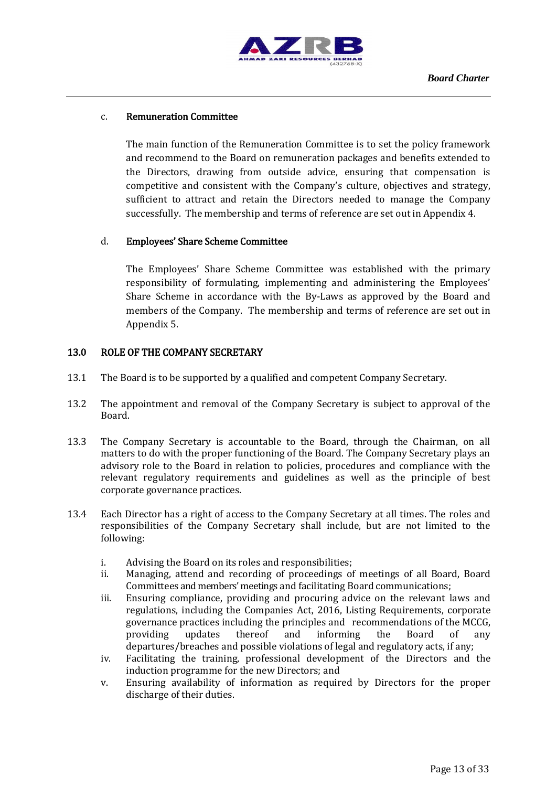

#### c. Remuneration Committee

The main function of the Remuneration Committee is to set the policy framework and recommend to the Board on remuneration packages and benefits extended to the Directors, drawing from outside advice, ensuring that compensation is competitive and consistent with the Company's culture, objectives and strategy, sufficient to attract and retain the Directors needed to manage the Company successfully. The membership and terms of reference are set out in Appendix 4.

#### d. Employees' Share Scheme Committee

The Employees' Share Scheme Committee was established with the primary responsibility of formulating, implementing and administering the Employees' Share Scheme in accordance with the By-Laws as approved by the Board and members of the Company. The membership and terms of reference are set out in Appendix 5.

#### 13.0 ROLE OF THE COMPANY SECRETARY

- 13.1 The Board is to be supported by a qualified and competent Company Secretary.
- 13.2 The appointment and removal of the Company Secretary is subject to approval of the Board.
- 13.3 The Company Secretary is accountable to the Board, through the Chairman, on all matters to do with the proper functioning of the Board. The Company Secretary plays an advisory role to the Board in relation to policies, procedures and compliance with the relevant regulatory requirements and guidelines as well as the principle of best corporate governance practices.
- 13.4 Each Director has a right of access to the Company Secretary at all times. The roles and responsibilities of the Company Secretary shall include, but are not limited to the following:
	- i. Advising the Board on its roles and responsibilities;
	- ii. Managing, attend and recording of proceedings of meetings of all Board, Board Committees and members'meetings and facilitating Board communications;
	- iii. Ensuring compliance, providing and procuring advice on the relevant laws and regulations, including the Companies Act, 2016, Listing Requirements, corporate governance practices including the principles and recommendations of the MCCG, providing updates thereof and informing the Board of any departures/breaches and possible violations of legal and regulatory acts, if any;
	- iv. Facilitating the training, professional development of the Directors and the induction programme for the new Directors; and
	- v. Ensuring availability of information as required by Directors for the proper discharge of their duties.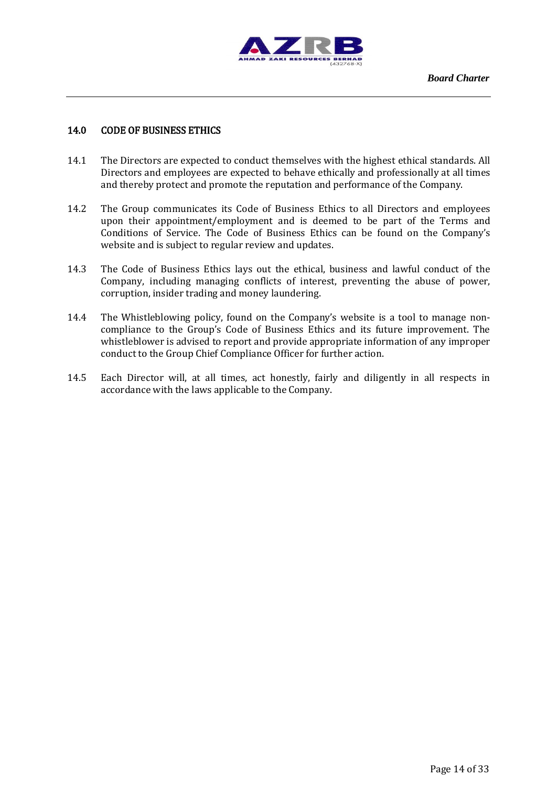

## 14.0 CODE OF BUSINESS ETHICS

- 14.1 The Directors are expected to conduct themselves with the highest ethical standards. All Directors and employees are expected to behave ethically and professionally at all times and thereby protect and promote the reputation and performance of the Company.
- 14.2 The Group communicates its Code of Business Ethics to all Directors and employees upon their appointment/employment and is deemed to be part of the Terms and Conditions of Service. The Code of Business Ethics can be found on the Company's website and is subject to regular review and updates.
- 14.3 The Code of Business Ethics lays out the ethical, business and lawful conduct of the Company, including managing conflicts of interest, preventing the abuse of power, corruption, insider trading and money laundering.
- 14.4 The Whistleblowing policy, found on the Company's website is a tool to manage noncompliance to the Group's Code of Business Ethics and its future improvement. The whistleblower is advised to report and provide appropriate information of any improper conduct to the Group Chief Compliance Officer for further action.
- 14.5 Each Director will, at all times, act honestly, fairly and diligently in all respects in accordance with the laws applicable to the Company.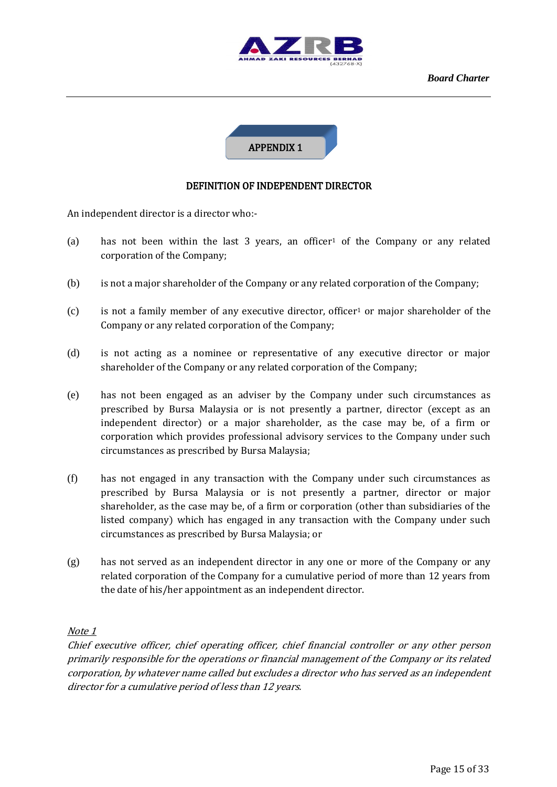



# DEFINITION OF INDEPENDENT DIRECTOR

An independent director is a director who:-

- (a) has not been within the last 3 years, an officer<sup>1</sup> of the Company or any related corporation of the Company;
- (b) is not a major shareholder of the Company or any related corporation of the Company;
- $(c)$  is not a family member of any executive director, officer<sup>1</sup> or major shareholder of the Company or any related corporation of the Company;
- (d) is not acting as a nominee or representative of any executive director or major shareholder of the Company or any related corporation of the Company;
- (e) has not been engaged as an adviser by the Company under such circumstances as prescribed by Bursa Malaysia or is not presently a partner, director (except as an independent director) or a major shareholder, as the case may be, of a firm or corporation which provides professional advisory services to the Company under such circumstances as prescribed by Bursa Malaysia;
- (f) has not engaged in any transaction with the Company under such circumstances as prescribed by Bursa Malaysia or is not presently a partner, director or major shareholder, as the case may be, of a firm or corporation (other than subsidiaries of the listed company) which has engaged in any transaction with the Company under such circumstances as prescribed by Bursa Malaysia; or
- (g) has not served as an independent director in any one or more of the Company or any related corporation of the Company for a cumulative period of more than 12 years from the date of his/her appointment as an independent director.

#### Note 1

Chief executive officer, chief operating officer, chief financial controller or any other person primarily responsible for the operations or financial management of the Company or its related corporation, by whatever name called but excludes a director who has served as an independent director for a cumulative period of less than 12 years.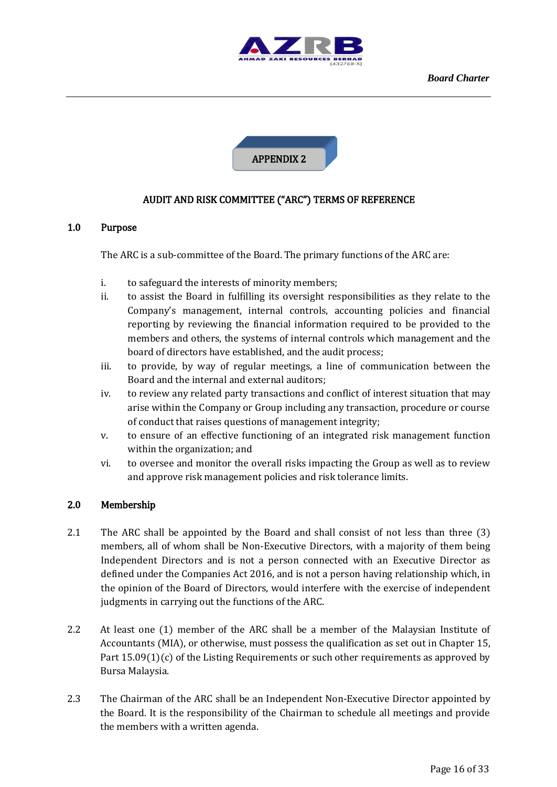



# AUDIT AND RISK COMMITTEE ("ARC") TERMS OF REFERENCE

#### 1.0 Purpose

The ARC is a sub-committee of the Board. The primary functions of the ARC are:

- i. to safeguard the interests of minority members;
- ii. to assist the Board in fulfilling its oversight responsibilities as they relate to the Company's management, internal controls, accounting policies and financial reporting by reviewing the financial information required to be provided to the members and others, the systems of internal controls which management and the board of directors have established, and the audit process;
- iii. to provide, by way of regular meetings, a line of communication between the Board and the internal and external auditors;
- iv. to review any related party transactions and conflict of interest situation that may arise within the Company or Group including any transaction, procedure or course of conduct that raises questions of management integrity;
- v. to ensure of an effective functioning of an integrated risk management function within the organization; and
- vi. to oversee and monitor the overall risks impacting the Group as well as to review and approve risk management policies and risk tolerance limits.

#### 2.0 Membership

- 2.1 The ARC shall be appointed by the Board and shall consist of not less than three (3) members, all of whom shall be Non-Executive Directors, with a majority of them being Independent Directors and is not a person connected with an Executive Director as defined under the Companies Act 2016, and is not a person having relationship which, in the opinion of the Board of Directors, would interfere with the exercise of independent judgments in carrying out the functions of the ARC.
- 2.2 At least one (1) member of the ARC shall be a member of the Malaysian Institute of Accountants (MIA), or otherwise, must possess the qualification as set out in Chapter 15, Part 15.09(1)(c) of the Listing Requirements or such other requirements as approved by Bursa Malaysia.
- 2.3 The Chairman of the ARC shall be an Independent Non-Executive Director appointed by the Board. It is the responsibility of the Chairman to schedule all meetings and provide the members with a written agenda.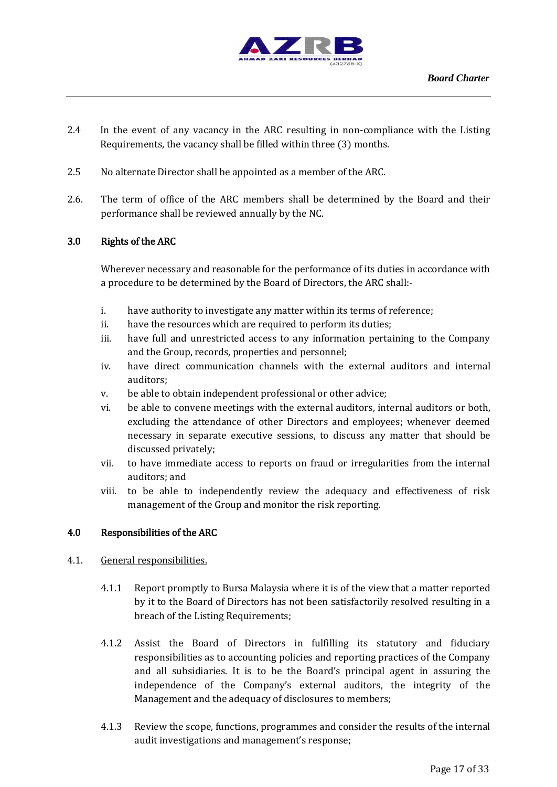

- 2.4 In the event of any vacancy in the ARC resulting in non-compliance with the Listing Requirements, the vacancy shall be filled within three (3) months.
- 2.5 No alternate Director shall be appointed as a member of the ARC.
- 2.6. The term of office of the ARC members shall be determined by the Board and their performance shall be reviewed annually by the NC.

#### 3.0 Rights of the ARC

Wherever necessary and reasonable for the performance of its duties in accordance with a procedure to be determined by the Board of Directors, the ARC shall:-

- i. have authority to investigate any matter within its terms of reference;
- ii. have the resources which are required to perform its duties;
- iii. have full and unrestricted access to any information pertaining to the Company and the Group, records, properties and personnel;
- iv. have direct communication channels with the external auditors and internal auditors;
- v. be able to obtain independent professional or other advice;
- vi. be able to convene meetings with the external auditors, internal auditors or both, excluding the attendance of other Directors and employees; whenever deemed necessary in separate executive sessions, to discuss any matter that should be discussed privately;
- vii. to have immediate access to reports on fraud or irregularities from the internal auditors; and
- viii. to be able to independently review the adequacy and effectiveness of risk management of the Group and monitor the risk reporting.

#### 4.0 Responsibilities of the ARC

- 4.1. General responsibilities.
	- 4.1.1 Report promptly to Bursa Malaysia where it is of the view that a matter reported by it to the Board of Directors has not been satisfactorily resolved resulting in a breach of the Listing Requirements;
	- 4.1.2 Assist the Board of Directors in fulfilling its statutory and fiduciary responsibilities as to accounting policies and reporting practices of the Company and all subsidiaries. It is to be the Board's principal agent in assuring the independence of the Company's external auditors, the integrity of the Management and the adequacy of disclosures to members;
	- 4.1.3 Review the scope, functions, programmes and consider the results of the internal audit investigations and management's response;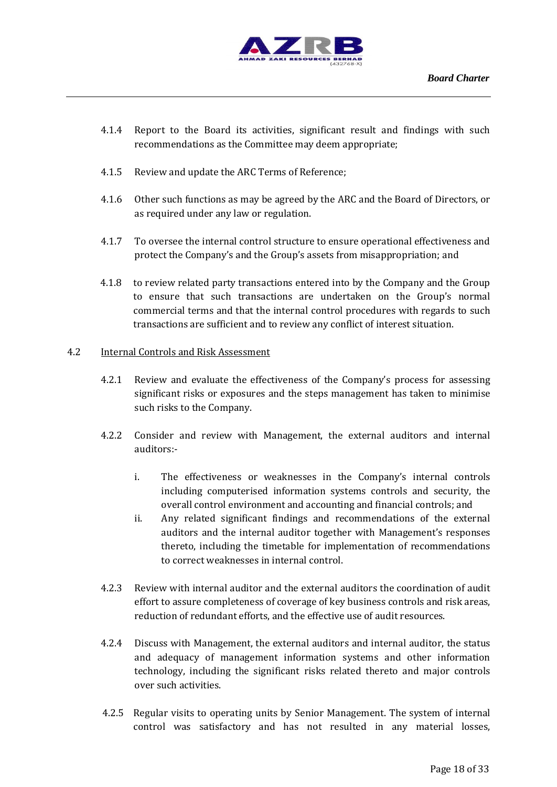

- 4.1.4 Report to the Board its activities, significant result and findings with such recommendations as the Committee may deem appropriate;
- 4.1.5 Review and update the ARC Terms of Reference;
- 4.1.6 Other such functions as may be agreed by the ARC and the Board of Directors, or as required under any law or regulation.
- 4.1.7 To oversee the internal control structure to ensure operational effectiveness and protect the Company's and the Group's assets from misappropriation; and
- 4.1.8 to review related party transactions entered into by the Company and the Group to ensure that such transactions are undertaken on the Group's normal commercial terms and that the internal control procedures with regards to such transactions are sufficient and to review any conflict of interest situation.

#### 4.2 Internal Controls and Risk Assessment

- 4.2.1 Review and evaluate the effectiveness of the Company's process for assessing significant risks or exposures and the steps management has taken to minimise such risks to the Company.
- 4.2.2 Consider and review with Management, the external auditors and internal auditors:
	- i. The effectiveness or weaknesses in the Company's internal controls including computerised information systems controls and security, the overall control environment and accounting and financial controls; and
	- ii. Any related significant findings and recommendations of the external auditors and the internal auditor together with Management's responses thereto, including the timetable for implementation of recommendations to correct weaknesses in internal control.
- 4.2.3 Review with internal auditor and the external auditors the coordination of audit effort to assure completeness of coverage of key business controls and risk areas, reduction of redundant efforts, and the effective use of audit resources.
- 4.2.4 Discuss with Management, the external auditors and internal auditor, the status and adequacy of management information systems and other information technology, including the significant risks related thereto and major controls over such activities.
- 4.2.5 Regular visits to operating units by Senior Management. The system of internal control was satisfactory and has not resulted in any material losses,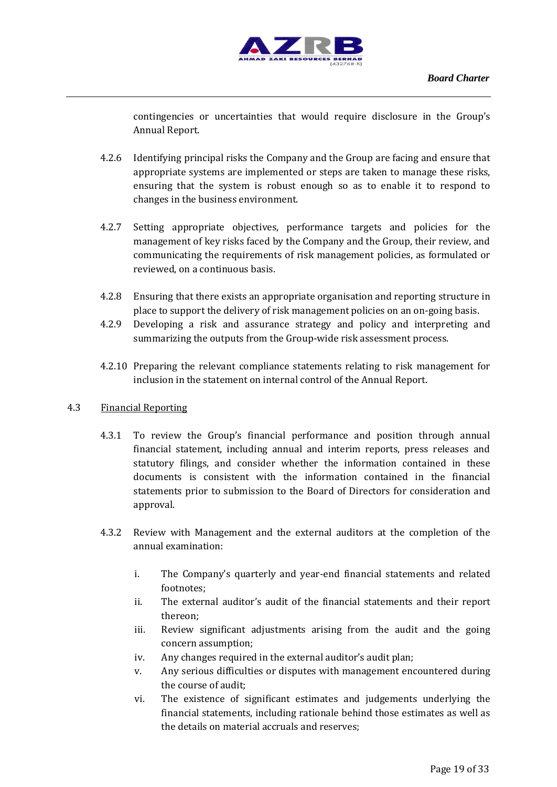

contingencies or uncertainties that would require disclosure in the Group's Annual Report.

- 4.2.6 Identifying principal risks the Company and the Group are facing and ensure that appropriate systems are implemented or steps are taken to manage these risks, ensuring that the system is robust enough so as to enable it to respond to changes in the business environment.
- 4.2.7 Setting appropriate objectives, performance targets and policies for the management of key risks faced by the Company and the Group, their review, and communicating the requirements of risk management policies, as formulated or reviewed, on a continuous basis.
- 4.2.8 Ensuring that there exists an appropriate organisation and reporting structure in place to support the delivery of risk management policies on an on-going basis.
- 4.2.9 Developing a risk and assurance strategy and policy and interpreting and summarizing the outputs from the Group-wide risk assessment process.
- 4.2.10 Preparing the relevant compliance statements relating to risk management for inclusion in the statement on internal control of the Annual Report.

#### 4.3 Financial Reporting

- 4.3.1 To review the Group's financial performance and position through annual financial statement, including annual and interim reports, press releases and statutory filings, and consider whether the information contained in these documents is consistent with the information contained in the financial statements prior to submission to the Board of Directors for consideration and approval.
- 4.3.2 Review with Management and the external auditors at the completion of the annual examination:
	- i. The Company's quarterly and year-end financial statements and related footnotes;
	- ii. The external auditor's audit of the financial statements and their report thereon;
	- iii. Review significant adjustments arising from the audit and the going concern assumption;
	- iv. Any changes required in the external auditor's audit plan;
	- v. Any serious difficulties or disputes with management encountered during the course of audit;
	- vi. The existence of significant estimates and judgements underlying the financial statements, including rationale behind those estimates as well as the details on material accruals and reserves;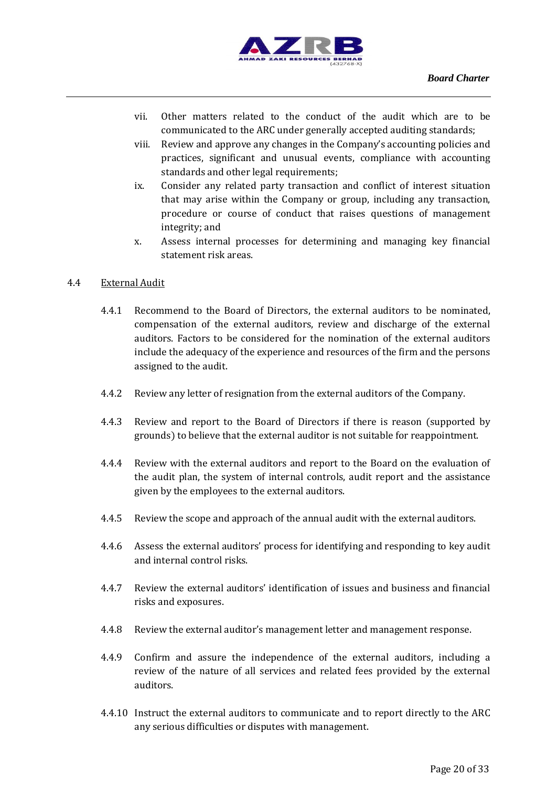

- vii. Other matters related to the conduct of the audit which are to be communicated to the ARC under generally accepted auditing standards;
- viii. Review and approve any changes in the Company's accounting policies and practices, significant and unusual events, compliance with accounting standards and other legal requirements;
- ix. Consider any related party transaction and conflict of interest situation that may arise within the Company or group, including any transaction, procedure or course of conduct that raises questions of management integrity; and
- x. Assess internal processes for determining and managing key financial statement risk areas.

#### 4.4 External Audit

- 4.4.1 Recommend to the Board of Directors, the external auditors to be nominated, compensation of the external auditors, review and discharge of the external auditors. Factors to be considered for the nomination of the external auditors include the adequacy of the experience and resources of the firm and the persons assigned to the audit.
- 4.4.2 Review any letter of resignation from the external auditors of the Company.
- 4.4.3 Review and report to the Board of Directors if there is reason (supported by grounds) to believe that the external auditor is not suitable for reappointment.
- 4.4.4 Review with the external auditors and report to the Board on the evaluation of the audit plan, the system of internal controls, audit report and the assistance given by the employees to the external auditors.
- 4.4.5 Review the scope and approach of the annual audit with the external auditors.
- 4.4.6 Assess the external auditors' process for identifying and responding to key audit and internal control risks.
- 4.4.7 Review the external auditors' identification of issues and business and financial risks and exposures.
- 4.4.8 Review the external auditor's management letter and management response.
- 4.4.9 Confirm and assure the independence of the external auditors, including a review of the nature of all services and related fees provided by the external auditors.
- 4.4.10 Instruct the external auditors to communicate and to report directly to the ARC any serious difficulties or disputes with management.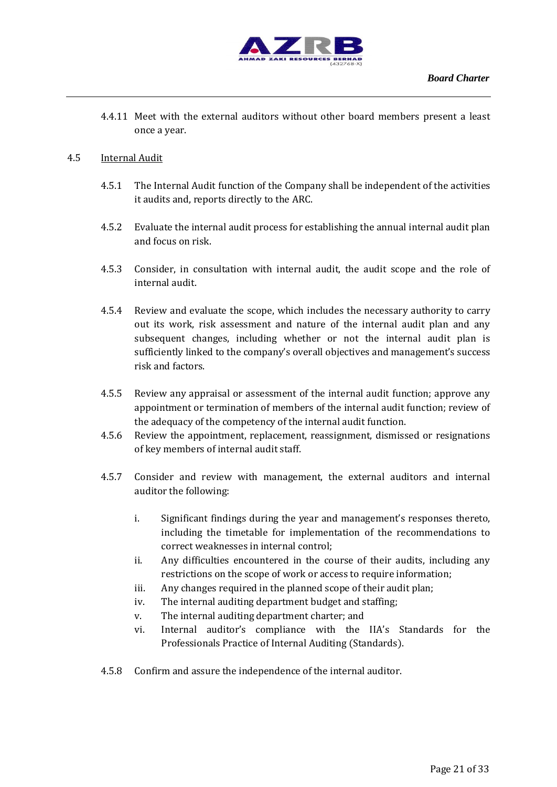

4.4.11 Meet with the external auditors without other board members present a least once a year.

#### 4.5 Internal Audit

- 4.5.1 The Internal Audit function of the Company shall be independent of the activities it audits and, reports directly to the ARC.
- 4.5.2 Evaluate the internal audit process for establishing the annual internal audit plan and focus on risk.
- 4.5.3 Consider, in consultation with internal audit, the audit scope and the role of internal audit.
- 4.5.4 Review and evaluate the scope, which includes the necessary authority to carry out its work, risk assessment and nature of the internal audit plan and any subsequent changes, including whether or not the internal audit plan is sufficiently linked to the company's overall objectives and management's success risk and factors.
- 4.5.5 Review any appraisal or assessment of the internal audit function; approve any appointment or termination of members of the internal audit function; review of the adequacy of the competency of the internal audit function.
- 4.5.6 Review the appointment, replacement, reassignment, dismissed or resignations of key members of internal audit staff.
- 4.5.7 Consider and review with management, the external auditors and internal auditor the following:
	- i. Significant findings during the year and management's responses thereto, including the timetable for implementation of the recommendations to correct weaknesses in internal control;
	- ii. Any difficulties encountered in the course of their audits, including any restrictions on the scope of work or access to require information;
	- iii. Any changes required in the planned scope of their audit plan;
	- iv. The internal auditing department budget and staffing;
	- v. The internal auditing department charter; and
	- vi. Internal auditor's compliance with the IIA's Standards for the Professionals Practice of Internal Auditing (Standards).
- 4.5.8 Confirm and assure the independence of the internal auditor.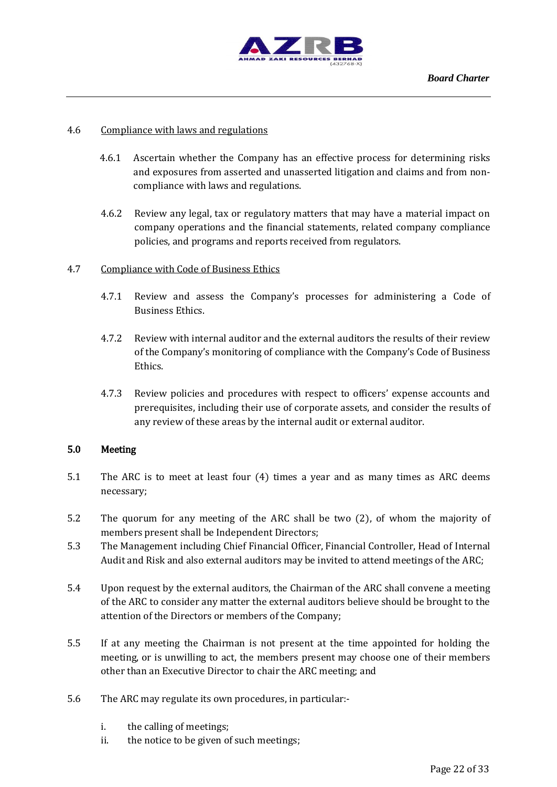

#### 4.6 Compliance with laws and regulations

- 4.6.1 Ascertain whether the Company has an effective process for determining risks and exposures from asserted and unasserted litigation and claims and from noncompliance with laws and regulations.
- 4.6.2 Review any legal, tax or regulatory matters that may have a material impact on company operations and the financial statements, related company compliance policies, and programs and reports received from regulators.

#### 4.7 Compliance with Code of Business Ethics

- 4.7.1 Review and assess the Company's processes for administering a Code of Business Ethics.
- 4.7.2 Review with internal auditor and the external auditors the results of their review of the Company's monitoring of compliance with the Company's Code of Business Ethics.
- 4.7.3 Review policies and procedures with respect to officers' expense accounts and prerequisites, including their use of corporate assets, and consider the results of any review of these areas by the internal audit or external auditor.

#### 5.0 Meeting

- 5.1 The ARC is to meet at least four (4) times a year and as many times as ARC deems necessary;
- 5.2 The quorum for any meeting of the ARC shall be two (2), of whom the majority of members present shall be Independent Directors;
- 5.3 The Management including Chief Financial Officer, Financial Controller, Head of Internal Audit and Risk and also external auditors may be invited to attend meetings of the ARC;
- 5.4 Upon request by the external auditors, the Chairman of the ARC shall convene a meeting of the ARC to consider any matter the external auditors believe should be brought to the attention of the Directors or members of the Company;
- 5.5 If at any meeting the Chairman is not present at the time appointed for holding the meeting, or is unwilling to act, the members present may choose one of their members other than an Executive Director to chair the ARC meeting; and
- 5.6 The ARC may regulate its own procedures, in particular:
	- i. the calling of meetings;
	- ii. the notice to be given of such meetings;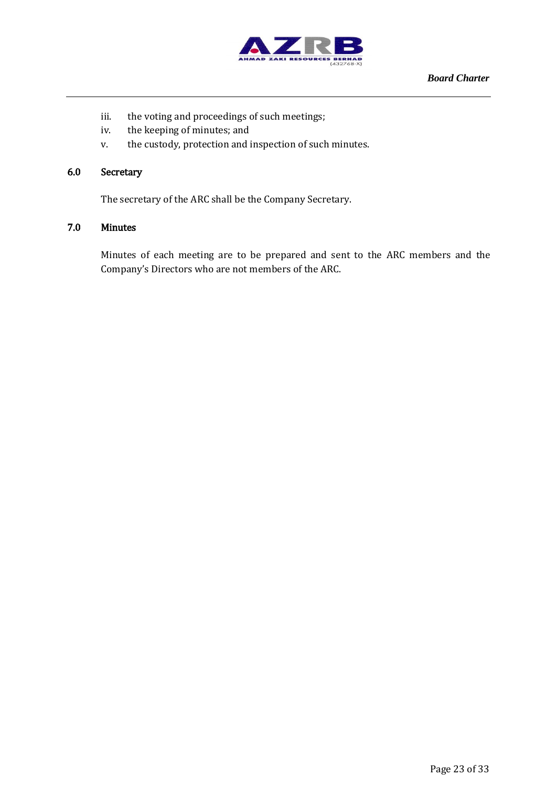

- iii. the voting and proceedings of such meetings;
- iv. the keeping of minutes; and
- v. the custody, protection and inspection of such minutes.

## 6.0 Secretary

The secretary of the ARC shall be the Company Secretary.

## 7.0 Minutes

Minutes of each meeting are to be prepared and sent to the ARC members and the Company's Directors who are not members of the ARC.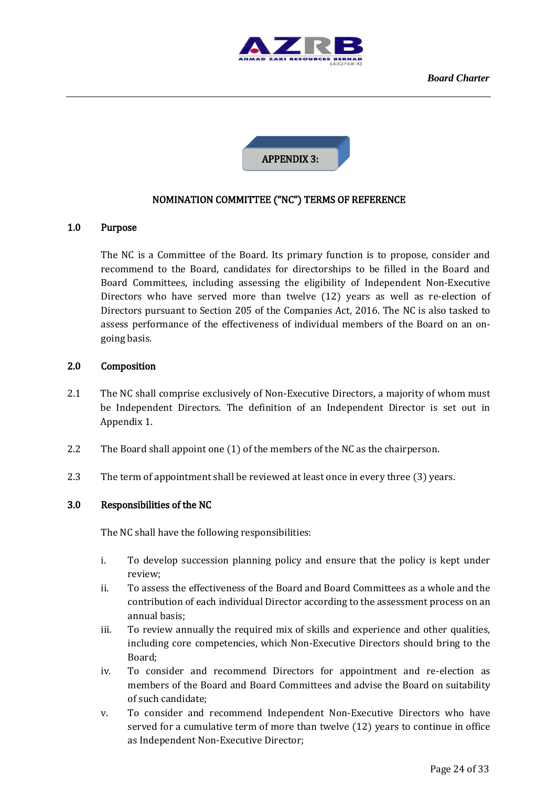



### NOMINATION COMMITTEE ("NC") TERMS OF REFERENCE

#### 1.0 Purpose

The NC is a Committee of the Board. Its primary function is to propose, consider and recommend to the Board, candidates for directorships to be filled in the Board and Board Committees, including assessing the eligibility of Independent Non-Executive Directors who have served more than twelve (12) years as well as re-election of Directors pursuant to Section 205 of the Companies Act, 2016. The NC is also tasked to assess performance of the effectiveness of individual members of the Board on an ongoing basis.

#### 2.0 Composition

- 2.1 The NC shall comprise exclusively of Non-Executive Directors, a majority of whom must be Independent Directors. The definition of an Independent Director is set out in Appendix 1.
- 2.2 The Board shall appoint one (1) of the members of the NC as the chairperson.
- 2.3 The term of appointment shall be reviewed at least once in every three (3) years.

#### 3.0 Responsibilities of the NC

The NC shall have the following responsibilities:

- i. To develop succession planning policy and ensure that the policy is kept under review;
- ii. To assess the effectiveness of the Board and Board Committees as a whole and the contribution of each individual Director according to the assessment process on an annual basis;
- iii. To review annually the required mix of skills and experience and other qualities, including core competencies, which Non-Executive Directors should bring to the Board;
- iv. To consider and recommend Directors for appointment and re-election as members of the Board and Board Committees and advise the Board on suitability of such candidate;
- v. To consider and recommend Independent Non-Executive Directors who have served for a cumulative term of more than twelve (12) years to continue in office as Independent Non-Executive Director;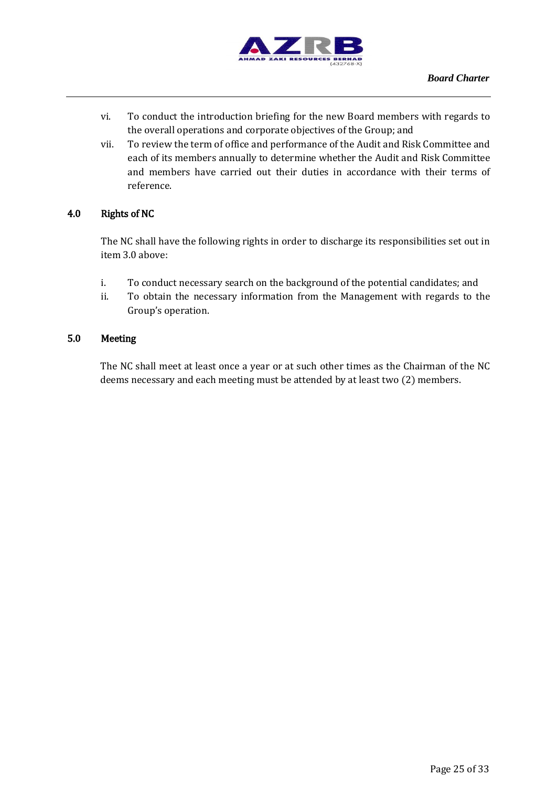

- vi. To conduct the introduction briefing for the new Board members with regards to the overall operations and corporate objectives of the Group; and
- vii. To review the term of office and performance of the Audit and Risk Committee and each of its members annually to determine whether the Audit and Risk Committee and members have carried out their duties in accordance with their terms of reference.

# 4.0 Rights of NC

The NC shall have the following rights in order to discharge its responsibilities set out in item 3.0 above:

- i. To conduct necessary search on the background of the potential candidates; and
- ii. To obtain the necessary information from the Management with regards to the Group's operation.

# 5.0 Meeting

The NC shall meet at least once a year or at such other times as the Chairman of the NC deems necessary and each meeting must be attended by at least two (2) members.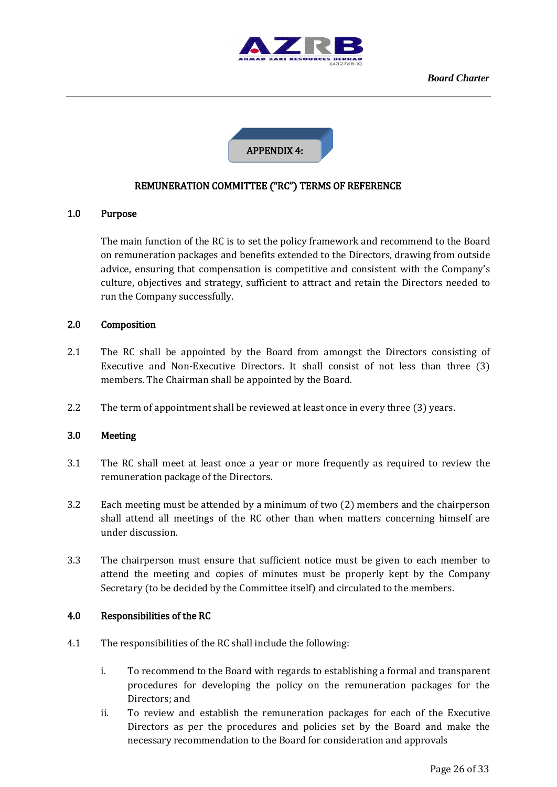



# REMUNERATION COMMITTEE ("RC") TERMS OF REFERENCE

#### 1.0 Purpose

The main function of the RC is to set the policy framework and recommend to the Board on remuneration packages and benefits extended to the Directors, drawing from outside advice, ensuring that compensation is competitive and consistent with the Company's culture, objectives and strategy, sufficient to attract and retain the Directors needed to run the Company successfully.

#### 2.0 Composition

- 2.1 The RC shall be appointed by the Board from amongst the Directors consisting of Executive and Non-Executive Directors. It shall consist of not less than three (3) members. The Chairman shall be appointed by the Board.
- 2.2 The term of appointment shall be reviewed at least once in every three (3) years.

#### 3.0 Meeting

- 3.1 The RC shall meet at least once a year or more frequently as required to review the remuneration package of the Directors.
- 3.2 Each meeting must be attended by a minimum of two (2) members and the chairperson shall attend all meetings of the RC other than when matters concerning himself are under discussion.
- 3.3 The chairperson must ensure that sufficient notice must be given to each member to attend the meeting and copies of minutes must be properly kept by the Company Secretary (to be decided by the Committee itself) and circulated to the members.

#### 4.0 Responsibilities of the RC

- 4.1 The responsibilities of the RC shall include the following:
	- i. To recommend to the Board with regards to establishing a formal and transparent procedures for developing the policy on the remuneration packages for the Directors; and
	- ii. To review and establish the remuneration packages for each of the Executive Directors as per the procedures and policies set by the Board and make the necessary recommendation to the Board for consideration and approvals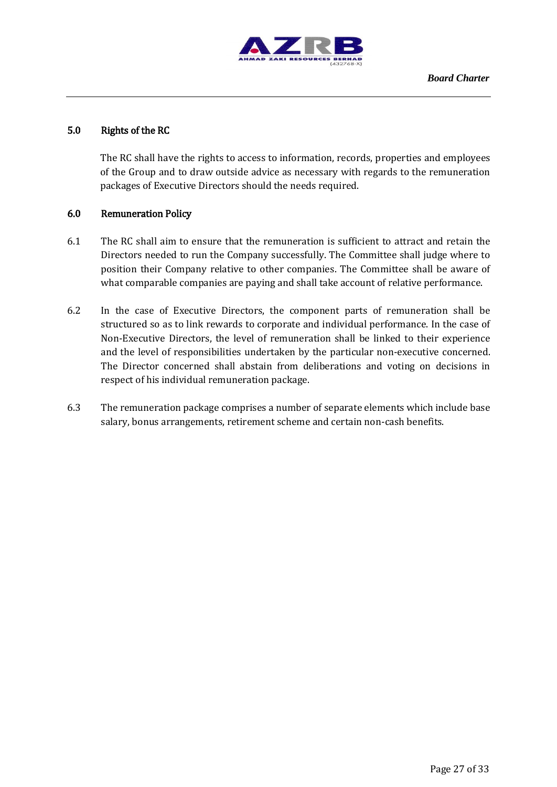

# 5.0 Rights of the RC

The RC shall have the rights to access to information, records, properties and employees of the Group and to draw outside advice as necessary with regards to the remuneration packages of Executive Directors should the needs required.

#### 6.0 Remuneration Policy

- 6.1 The RC shall aim to ensure that the remuneration is sufficient to attract and retain the Directors needed to run the Company successfully. The Committee shall judge where to position their Company relative to other companies. The Committee shall be aware of what comparable companies are paying and shall take account of relative performance.
- 6.2 In the case of Executive Directors, the component parts of remuneration shall be structured so as to link rewards to corporate and individual performance. In the case of Non-Executive Directors, the level of remuneration shall be linked to their experience and the level of responsibilities undertaken by the particular non-executive concerned. The Director concerned shall abstain from deliberations and voting on decisions in respect of his individual remuneration package.
- 6.3 The remuneration package comprises a number of separate elements which include base salary, bonus arrangements, retirement scheme and certain non-cash benefits.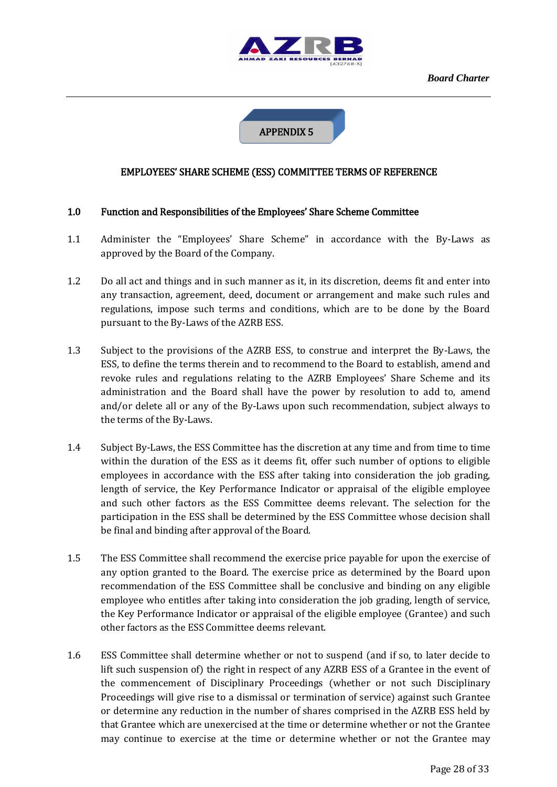



# EMPLOYEES' SHARE SCHEME (ESS) COMMITTEE TERMS OF REFERENCE

#### 1.0 Function and Responsibilities of the Employees' Share Scheme Committee

- 1.1 Administer the "Employees' Share Scheme" in accordance with the By-Laws as approved by the Board of the Company.
- 1.2 Do all act and things and in such manner as it, in its discretion, deems fit and enter into any transaction, agreement, deed, document or arrangement and make such rules and regulations, impose such terms and conditions, which are to be done by the Board pursuant to the By-Laws of the AZRB ESS.
- 1.3 Subject to the provisions of the AZRB ESS, to construe and interpret the By-Laws, the ESS, to define the terms therein and to recommend to the Board to establish, amend and revoke rules and regulations relating to the AZRB Employees' Share Scheme and its administration and the Board shall have the power by resolution to add to, amend and/or delete all or any of the By-Laws upon such recommendation, subject always to the terms of the By-Laws.
- 1.4 Subject By-Laws, the ESS Committee has the discretion at any time and from time to time within the duration of the ESS as it deems fit, offer such number of options to eligible employees in accordance with the ESS after taking into consideration the job grading, length of service, the Key Performance Indicator or appraisal of the eligible employee and such other factors as the ESS Committee deems relevant. The selection for the participation in the ESS shall be determined by the ESS Committee whose decision shall be final and binding after approval of the Board.
- 1.5 The ESS Committee shall recommend the exercise price payable for upon the exercise of any option granted to the Board. The exercise price as determined by the Board upon recommendation of the ESS Committee shall be conclusive and binding on any eligible employee who entitles after taking into consideration the job grading, length of service, the Key Performance Indicator or appraisal of the eligible employee (Grantee) and such other factors as the ESS Committee deems relevant.
- 1.6 ESS Committee shall determine whether or not to suspend (and if so, to later decide to lift such suspension of) the right in respect of any AZRB ESS of a Grantee in the event of the commencement of Disciplinary Proceedings (whether or not such Disciplinary Proceedings will give rise to a dismissal or termination of service) against such Grantee or determine any reduction in the number of shares comprised in the AZRB ESS held by that Grantee which are unexercised at the time or determine whether or not the Grantee may continue to exercise at the time or determine whether or not the Grantee may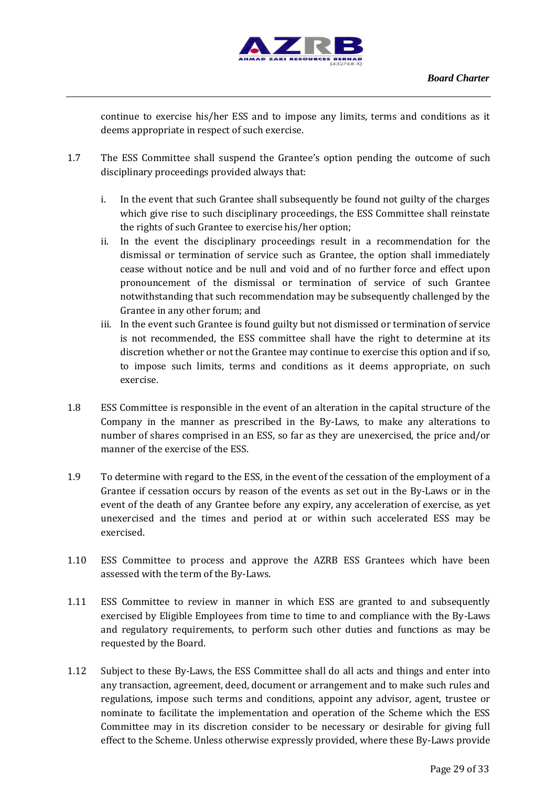

continue to exercise his/her ESS and to impose any limits, terms and conditions as it deems appropriate in respect of such exercise.

- 1.7 The ESS Committee shall suspend the Grantee's option pending the outcome of such disciplinary proceedings provided always that:
	- i. In the event that such Grantee shall subsequently be found not guilty of the charges which give rise to such disciplinary proceedings, the ESS Committee shall reinstate the rights of such Grantee to exercise his/her option;
	- ii. In the event the disciplinary proceedings result in a recommendation for the dismissal or termination of service such as Grantee, the option shall immediately cease without notice and be null and void and of no further force and effect upon pronouncement of the dismissal or termination of service of such Grantee notwithstanding that such recommendation may be subsequently challenged by the Grantee in any other forum; and
	- iii. In the event such Grantee is found guilty but not dismissed or termination of service is not recommended, the ESS committee shall have the right to determine at its discretion whether or not the Grantee may continue to exercise this option and if so, to impose such limits, terms and conditions as it deems appropriate, on such exercise.
- 1.8 ESS Committee is responsible in the event of an alteration in the capital structure of the Company in the manner as prescribed in the By-Laws, to make any alterations to number of shares comprised in an ESS, so far as they are unexercised, the price and/or manner of the exercise of the ESS.
- 1.9 To determine with regard to the ESS, in the event of the cessation of the employment of a Grantee if cessation occurs by reason of the events as set out in the By-Laws or in the event of the death of any Grantee before any expiry, any acceleration of exercise, as yet unexercised and the times and period at or within such accelerated ESS may be exercised.
- 1.10 ESS Committee to process and approve the AZRB ESS Grantees which have been assessed with the term of the By-Laws.
- 1.11 ESS Committee to review in manner in which ESS are granted to and subsequently exercised by Eligible Employees from time to time to and compliance with the By-Laws and regulatory requirements, to perform such other duties and functions as may be requested by the Board.
- 1.12 Subject to these By-Laws, the ESS Committee shall do all acts and things and enter into any transaction, agreement, deed, document or arrangement and to make such rules and regulations, impose such terms and conditions, appoint any advisor, agent, trustee or nominate to facilitate the implementation and operation of the Scheme which the ESS Committee may in its discretion consider to be necessary or desirable for giving full effect to the Scheme. Unless otherwise expressly provided, where these By-Laws provide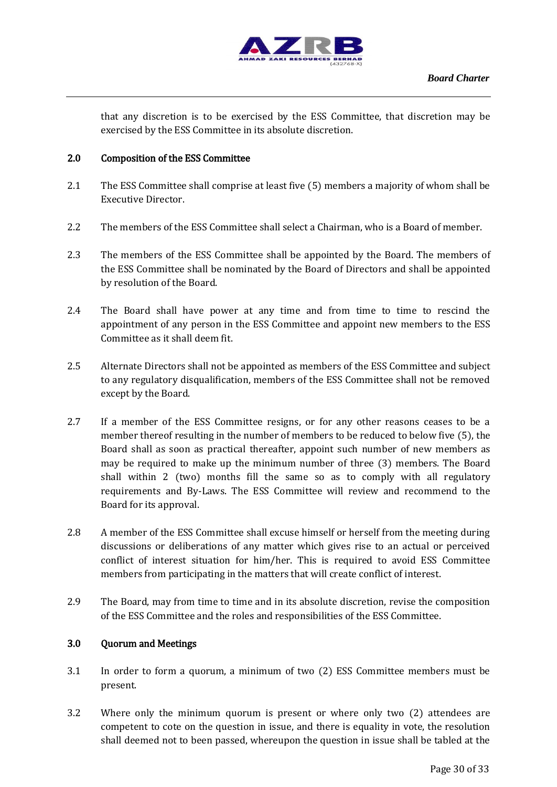

that any discretion is to be exercised by the ESS Committee, that discretion may be exercised by the ESS Committee in its absolute discretion.

## 2.0 Composition of the ESS Committee

- 2.1 The ESS Committee shall comprise at least five (5) members a majority of whom shall be Executive Director.
- 2.2 The members of the ESS Committee shall select a Chairman, who is a Board of member.
- 2.3 The members of the ESS Committee shall be appointed by the Board. The members of the ESS Committee shall be nominated by the Board of Directors and shall be appointed by resolution of the Board.
- 2.4 The Board shall have power at any time and from time to time to rescind the appointment of any person in the ESS Committee and appoint new members to the ESS Committee as it shall deem fit.
- 2.5 Alternate Directors shall not be appointed as members of the ESS Committee and subject to any regulatory disqualification, members of the ESS Committee shall not be removed except by the Board.
- 2.7 If a member of the ESS Committee resigns, or for any other reasons ceases to be a member thereof resulting in the number of members to be reduced to below five (5), the Board shall as soon as practical thereafter, appoint such number of new members as may be required to make up the minimum number of three (3) members. The Board shall within 2 (two) months fill the same so as to comply with all regulatory requirements and By-Laws. The ESS Committee will review and recommend to the Board for its approval.
- 2.8 A member of the ESS Committee shall excuse himself or herself from the meeting during discussions or deliberations of any matter which gives rise to an actual or perceived conflict of interest situation for him/her. This is required to avoid ESS Committee members from participating in the matters that will create conflict of interest.
- 2.9 The Board, may from time to time and in its absolute discretion, revise the composition of the ESS Committee and the roles and responsibilities of the ESS Committee.

## 3.0 Quorum and Meetings

- 3.1 In order to form a quorum, a minimum of two (2) ESS Committee members must be present.
- 3.2 Where only the minimum quorum is present or where only two (2) attendees are competent to cote on the question in issue, and there is equality in vote, the resolution shall deemed not to been passed, whereupon the question in issue shall be tabled at the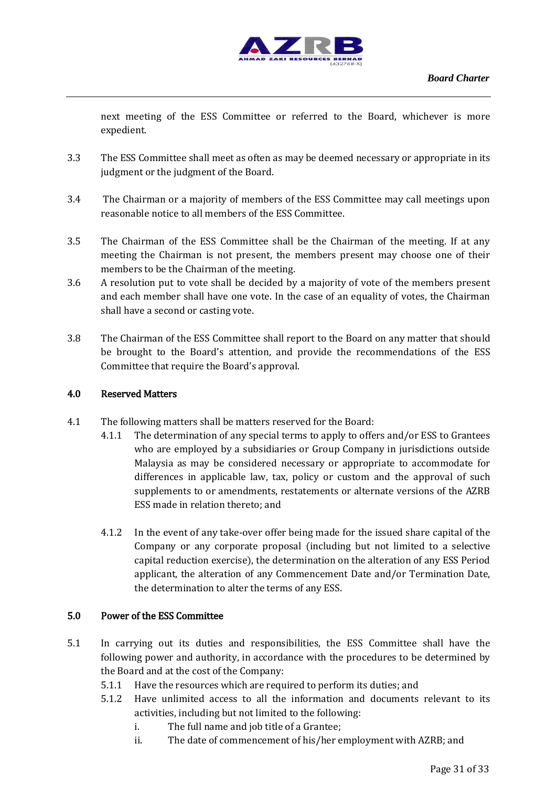

next meeting of the ESS Committee or referred to the Board, whichever is more expedient.

- 3.3 The ESS Committee shall meet as often as may be deemed necessary or appropriate in its judgment or the judgment of the Board.
- 3.4 The Chairman or a majority of members of the ESS Committee may call meetings upon reasonable notice to all members of the ESS Committee.
- 3.5 The Chairman of the ESS Committee shall be the Chairman of the meeting. If at any meeting the Chairman is not present, the members present may choose one of their members to be the Chairman of the meeting.
- 3.6 A resolution put to vote shall be decided by a majority of vote of the members present and each member shall have one vote. In the case of an equality of votes, the Chairman shall have a second or casting vote.
- 3.8 The Chairman of the ESS Committee shall report to the Board on any matter that should be brought to the Board's attention, and provide the recommendations of the ESS Committee that require the Board's approval.

## 4.0 Reserved Matters

- 4.1 The following matters shall be matters reserved for the Board:
	- 4.1.1 The determination of any special terms to apply to offers and/or ESS to Grantees who are employed by a subsidiaries or Group Company in jurisdictions outside Malaysia as may be considered necessary or appropriate to accommodate for differences in applicable law, tax, policy or custom and the approval of such supplements to or amendments, restatements or alternate versions of the AZRB ESS made in relation thereto; and
		- 4.1.2 In the event of any take-over offer being made for the issued share capital of the Company or any corporate proposal (including but not limited to a selective capital reduction exercise), the determination on the alteration of any ESS Period applicant, the alteration of any Commencement Date and/or Termination Date, the determination to alter the terms of any ESS.

#### 5.0 Power of the ESS Committee

- 5.1 In carrying out its duties and responsibilities, the ESS Committee shall have the following power and authority, in accordance with the procedures to be determined by the Board and at the cost of the Company:
	- 5.1.1 Have the resources which are required to perform its duties; and
	- 5.1.2 Have unlimited access to all the information and documents relevant to its activities, including but not limited to the following:
		- i. The full name and job title of a Grantee;
		- ii. The date of commencement of his/her employment with AZRB; and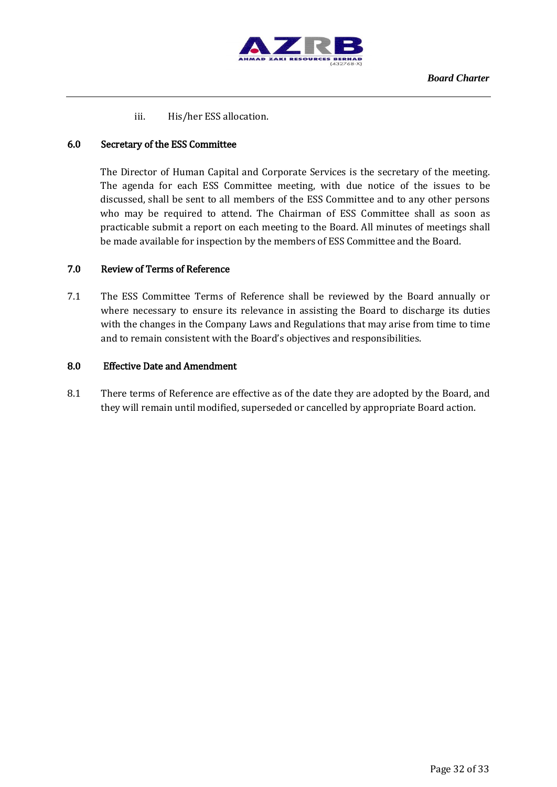

iii. His/her ESS allocation.

# 6.0 Secretary of the ESS Committee

The Director of Human Capital and Corporate Services is the secretary of the meeting. The agenda for each ESS Committee meeting, with due notice of the issues to be discussed, shall be sent to all members of the ESS Committee and to any other persons who may be required to attend. The Chairman of ESS Committee shall as soon as practicable submit a report on each meeting to the Board. All minutes of meetings shall be made available for inspection by the members of ESS Committee and the Board.

# 7.0 Review of Terms of Reference

7.1 The ESS Committee Terms of Reference shall be reviewed by the Board annually or where necessary to ensure its relevance in assisting the Board to discharge its duties with the changes in the Company Laws and Regulations that may arise from time to time and to remain consistent with the Board's objectives and responsibilities.

#### 8.0 Effective Date and Amendment

8.1 There terms of Reference are effective as of the date they are adopted by the Board, and they will remain until modified, superseded or cancelled by appropriate Board action.